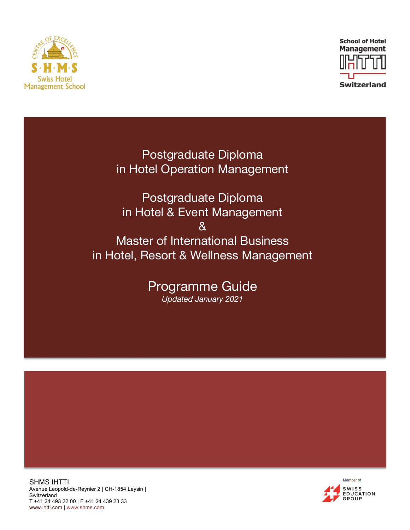



Postgraduate Diploma in Hotel Operation Management

Postgraduate Diploma in Hotel & Event Management & Master of International Business in Hotel, Resort & Wellness Management

> Programme Guide *Updated January 2021*

SHMS IHTTI Avenue Leopold-de-Reynier 2 | CH-1854 Leysin | **Switzerland** T +41 24 493 22 00 | F +41 24 439 23 33 www.ihtti.com | www.shms.com

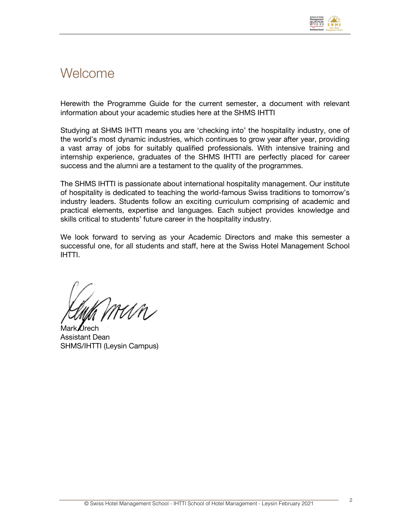

### **Welcome**

Herewith the Programme Guide for the current semester, a document with relevant information about your academic studies here at the SHMS IHTTI

Studying at SHMS IHTTI means you are 'checking into' the hospitality industry, one of the world's most dynamic industries, which continues to grow year after year, providing a vast array of jobs for suitably qualified professionals. With intensive training and internship experience, graduates of the SHMS IHTTI are perfectly placed for career success and the alumni are a testament to the quality of the programmes.

The SHMS IHTTI is passionate about international hospitality management. Our institute of hospitality is dedicated to teaching the world-famous Swiss traditions to tomorrow's industry leaders. Students follow an exciting curriculum comprising of academic and practical elements, expertise and languages. Each subject provides knowledge and skills critical to students' future career in the hospitality industry.

We look forward to serving as your Academic Directors and make this semester a successful one, for all students and staff, here at the Swiss Hotel Management School IHTTI.

MMN

Mark Urech Assistant Dean SHMS/IHTTI (Leysin Campus)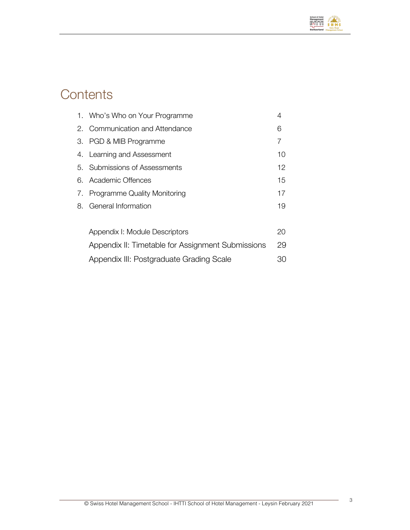

# **Contents**

| 1. Who's Who on Your Programme                    | 4  |
|---------------------------------------------------|----|
| 2. Communication and Attendance                   | 6  |
| 3. PGD & MIB Programme                            | 7  |
| 4. Learning and Assessment                        | 10 |
| 5. Submissions of Assessments                     | 12 |
| 6. Academic Offences                              | 15 |
| 7. Programme Quality Monitoring                   | 17 |
| 8. General Information                            | 19 |
|                                                   |    |
| Appendix I: Module Descriptors                    | 20 |
| Appendix II: Timetable for Assignment Submissions | 29 |
| Appendix III: Postgraduate Grading Scale          | 30 |
|                                                   |    |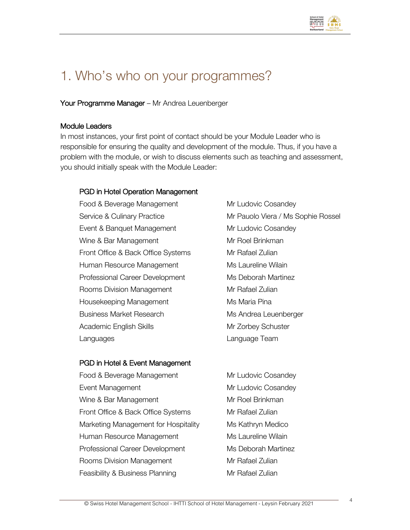

## 1. Who's who on your programmes?

Your Programme Manager - Mr Andrea Leuenberger

#### Module Leaders

In most instances, your first point of contact should be your Module Leader who is responsible for ensuring the quality and development of the module. Thus, if you have a problem with the module, or wish to discuss elements such as teaching and assessment, you should initially speak with the Module Leader:

#### PGD in Hotel Operation Management

Food & Beverage Management Mr Ludovic Cosandey Event & Banquet Management Mr Ludovic Cosandey Wine & Bar Management Mr Roel Brinkman Front Office & Back Office Systems Mr Rafael Zulian Human Resource Management Ms Laureline Wilain Professional Career Development Ms Deborah Martinez Rooms Division Management Mr Rafael Zulian Housekeeping Management Ms Maria Pina Business Market Research Ms Andrea Leuenberger Academic English Skills Music Mr Zorbey Schuster Languages Language Team

Service & Culinary Practice **Mr Pauolo Viera / Ms Sophie Rossel** 

#### PGD in Hotel & Event Management

Food & Beverage Management Mr Ludovic Cosandey Event Management Management Mr Ludovic Cosandey Wine & Bar Management Mr Roel Brinkman Front Office & Back Office Systems Mr Rafael Zulian Marketing Management for Hospitality Ms Kathryn Medico Human Resource Management Ms Laureline Wilain Professional Career Development Ms Deborah Martinez Rooms Division Management Mr Rafael Zulian Feasibility & Business Planning Mr Rafael Zulian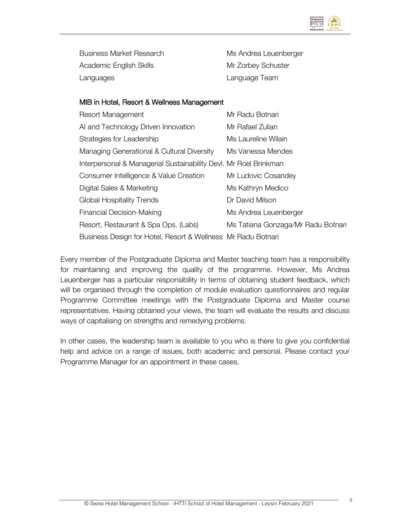

Business Market Research Ms Andrea Leuenberger Academic English Skills Manuel Mr Zorbey Schuster Languages Language Team

#### MIB in Hotel, Resort & Wellness Management

| <b>Resort Management</b>                                         | Mr Radu Botnari                    |
|------------------------------------------------------------------|------------------------------------|
| AI and Technology Driven Innovation                              | Mr Rafael Zulian                   |
| Strategies for Leadership                                        | Ms Laureline Wilain                |
| Managing Generational & Cultural Diversity                       | Ms Vanessa Mendes                  |
| Interpersonal & Managerial Sustainability Devl. Mr Roel Brinkman |                                    |
| Consumer Intelligence & Value Creation                           | Mr Ludovic Cosandey                |
| Digital Sales & Marketing                                        | Ms Kathryn Medico                  |
| <b>Global Hospitality Trends</b>                                 | Dr David Milson                    |
| Financial Decision-Making                                        | Ms Andrea Leuenberger              |
| Resort, Restaurant & Spa Ops. (Labs)                             | Ms Tatiana Gonzaga/Mr Radu Botnari |
| Business Design for Hotel, Resort & Wellness Mr Radu Botnari     |                                    |

Every member of the Postgraduate Diploma and Master teaching team has a responsibility for maintaining and improving the quality of the programme. However, Ms Andrea Leuenberger has a particular responsibility in terms of obtaining student feedback, which will be organised through the completion of module evaluation questionnaires and regular Programme Committee meetings with the Postgraduate Diploma and Master course representatives. Having obtained your views, the team will evaluate the results and discuss ways of capitalising on strengths and remedying problems.

In other cases, the leadership team is available to you who is there to give you confidential help and advice on a range of issues, both academic and personal. Please contact your Programme Manager for an appointment in these cases.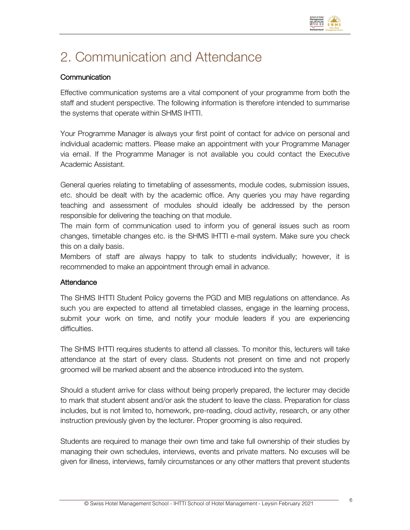

# 2. Communication and Attendance

#### **Communication**

Effective communication systems are a vital component of your programme from both the staff and student perspective. The following information is therefore intended to summarise the systems that operate within SHMS IHTTI.

Your Programme Manager is always your first point of contact for advice on personal and individual academic matters. Please make an appointment with your Programme Manager via email. If the Programme Manager is not available you could contact the Executive Academic Assistant.

General queries relating to timetabling of assessments, module codes, submission issues, etc. should be dealt with by the academic office. Any queries you may have regarding teaching and assessment of modules should ideally be addressed by the person responsible for delivering the teaching on that module.

The main form of communication used to inform you of general issues such as room changes, timetable changes etc. is the SHMS IHTTI e-mail system. Make sure you check this on a daily basis.

Members of staff are always happy to talk to students individually; however, it is recommended to make an appointment through email in advance.

#### **Attendance**

The SHMS IHTTI Student Policy governs the PGD and MIB regulations on attendance. As such you are expected to attend all timetabled classes, engage in the learning process, submit your work on time, and notify your module leaders if you are experiencing difficulties.

The SHMS IHTTI requires students to attend all classes. To monitor this, lecturers will take attendance at the start of every class. Students not present on time and not properly groomed will be marked absent and the absence introduced into the system.

Should a student arrive for class without being properly prepared, the lecturer may decide to mark that student absent and/or ask the student to leave the class. Preparation for class includes, but is not limited to, homework, pre-reading, cloud activity, research, or any other instruction previously given by the lecturer. Proper grooming is also required.

Students are required to manage their own time and take full ownership of their studies by managing their own schedules, interviews, events and private matters. No excuses will be given for illness, interviews, family circumstances or any other matters that prevent students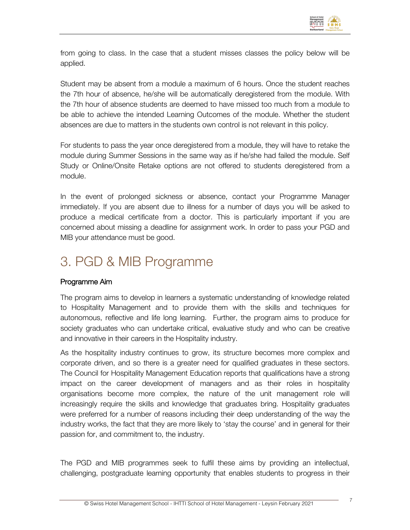

from going to class. In the case that a student misses classes the policy below will be applied.

Student may be absent from a module a maximum of 6 hours. Once the student reaches the 7th hour of absence, he/she will be automatically deregistered from the module. With the 7th hour of absence students are deemed to have missed too much from a module to be able to achieve the intended Learning Outcomes of the module. Whether the student absences are due to matters in the students own control is not relevant in this policy.

For students to pass the year once deregistered from a module, they will have to retake the module during Summer Sessions in the same way as if he/she had failed the module. Self Study or Online/Onsite Retake options are not offered to students deregistered from a module.

In the event of prolonged sickness or absence, contact your Programme Manager immediately. If you are absent due to illness for a number of days you will be asked to produce a medical certificate from a doctor. This is particularly important if you are concerned about missing a deadline for assignment work. In order to pass your PGD and MIB your attendance must be good.

# 3. PGD & MIB Programme

#### Programme Aim

The program aims to develop in learners a systematic understanding of knowledge related to Hospitality Management and to provide them with the skills and techniques for autonomous, reflective and life long learning. Further, the program aims to produce for society graduates who can undertake critical, evaluative study and who can be creative and innovative in their careers in the Hospitality industry.

As the hospitality industry continues to grow, its structure becomes more complex and corporate driven, and so there is a greater need for qualified graduates in these sectors. The Council for Hospitality Management Education reports that qualifications have a strong impact on the career development of managers and as their roles in hospitality organisations become more complex, the nature of the unit management role will increasingly require the skills and knowledge that graduates bring. Hospitality graduates were preferred for a number of reasons including their deep understanding of the way the industry works, the fact that they are more likely to 'stay the course' and in general for their passion for, and commitment to, the industry.

The PGD and MIB programmes seek to fulfil these aims by providing an intellectual, challenging, postgraduate learning opportunity that enables students to progress in their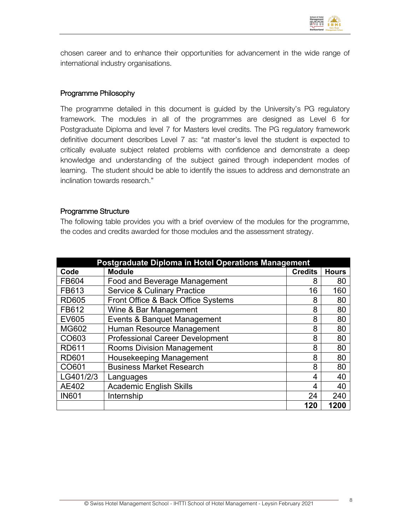

chosen career and to enhance their opportunities for advancement in the wide range of international industry organisations.

#### Programme Philosophy

The programme detailed in this document is guided by the University's PG regulatory framework. The modules in all of the programmes are designed as Level 6 for Postgraduate Diploma and level 7 for Masters level credits. The PG regulatory framework definitive document describes Level 7 as: "at master's level the student is expected to critically evaluate subject related problems with confidence and demonstrate a deep knowledge and understanding of the subject gained through independent modes of learning. The student should be able to identify the issues to address and demonstrate an inclination towards research."

#### Programme Structure

The following table provides you with a brief overview of the modules for the programme, the codes and credits awarded for those modules and the assessment strategy.

| Postgraduate Diploma in Hotel Operations Management |                                        |                |              |
|-----------------------------------------------------|----------------------------------------|----------------|--------------|
| Code                                                | <b>Module</b>                          | <b>Credits</b> | <b>Hours</b> |
| FB604                                               | <b>Food and Beverage Management</b>    | 8              | 80           |
| FB613                                               | <b>Service &amp; Culinary Practice</b> | 16             | 160          |
| <b>RD605</b>                                        | Front Office & Back Office Systems     | 8              | 80           |
| FB612                                               | Wine & Bar Management                  | 8              | 80           |
| <b>EV605</b>                                        | Events & Banquet Management            | 8              | 80           |
| <b>MG602</b>                                        | Human Resource Management              | 8              | 80           |
| CO603                                               | <b>Professional Career Development</b> | 8              | 80           |
| <b>RD611</b>                                        | <b>Rooms Division Management</b>       | 8              | 80           |
| <b>RD601</b>                                        | Housekeeping Management                | 8              | 80           |
| CO601                                               | <b>Business Market Research</b>        | 8              | 80           |
| LG401/2/3                                           | Languages                              | 4              | 40           |
| AE402                                               | <b>Academic English Skills</b>         | 4              | 40           |
| <b>IN601</b>                                        | Internship                             | 24             | 240          |
|                                                     |                                        | 120            | 1200         |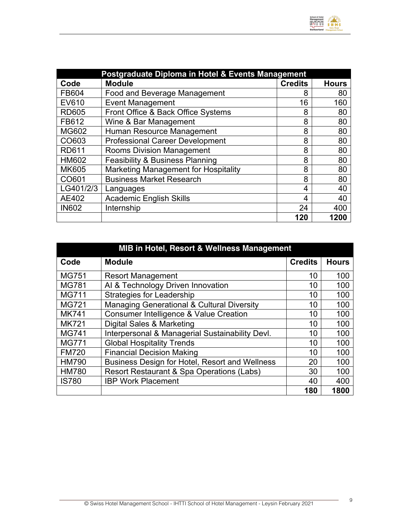

| Postgraduate Diploma in Hotel & Events Management |                                            |                |              |  |
|---------------------------------------------------|--------------------------------------------|----------------|--------------|--|
| Code                                              | <b>Module</b>                              | <b>Credits</b> | <b>Hours</b> |  |
| FB604                                             | <b>Food and Beverage Management</b>        | 8              | 80           |  |
| EV610                                             | <b>Event Management</b>                    | 16             | 160          |  |
| <b>RD605</b>                                      | Front Office & Back Office Systems         | 8              | 80           |  |
| FB612                                             | Wine & Bar Management                      | 8              | 80           |  |
| <b>MG602</b>                                      | Human Resource Management                  | 8              | 80           |  |
| CO603                                             | <b>Professional Career Development</b>     | 8              | 80           |  |
| <b>RD611</b>                                      | <b>Rooms Division Management</b>           | 8              | 80           |  |
| <b>HM602</b>                                      | <b>Feasibility &amp; Business Planning</b> | 8              | 80           |  |
| <b>MK605</b>                                      | Marketing Management for Hospitality       | 8              | 80           |  |
| CO601                                             | <b>Business Market Research</b>            | 8              | 80           |  |
| LG401/2/3                                         | Languages                                  | 4              | 40           |  |
| AE402                                             | <b>Academic English Skills</b>             | 4              | 40           |  |
| <b>IN602</b>                                      | Internship                                 | 24             | 400          |  |
|                                                   |                                            | 120            | 1200         |  |

| MIB in Hotel, Resort & Wellness Management |                                                       |                |              |  |
|--------------------------------------------|-------------------------------------------------------|----------------|--------------|--|
| Code                                       | <b>Module</b>                                         | <b>Credits</b> | <b>Hours</b> |  |
| <b>MG751</b>                               | <b>Resort Management</b>                              | 10             | 100          |  |
| <b>MG781</b>                               | Al & Technology Driven Innovation                     | 10             | 100          |  |
| <b>MG711</b>                               | <b>Strategies for Leadership</b>                      | 10             | 100          |  |
| MG721                                      | <b>Managing Generational &amp; Cultural Diversity</b> | 10             | 100          |  |
| <b>MK741</b>                               | Consumer Intelligence & Value Creation                | 10             | 100          |  |
| <b>MK721</b>                               | Digital Sales & Marketing                             | 10             | 100          |  |
| MG741                                      | Interpersonal & Managerial Sustainability Devl.       | 10             | 100          |  |
| <b>MG771</b>                               | <b>Global Hospitality Trends</b>                      | 10             | 100          |  |
| <b>FM720</b>                               | <b>Financial Decision Making</b>                      | 10             | 100          |  |
| <b>HM790</b>                               | Business Design for Hotel, Resort and Wellness        | 20             | 100          |  |
| <b>HM780</b>                               | Resort Restaurant & Spa Operations (Labs)             | 30             | 100          |  |
| <b>IS780</b>                               | <b>IBP Work Placement</b>                             | 40             | 400          |  |
|                                            |                                                       | 180            | 1800         |  |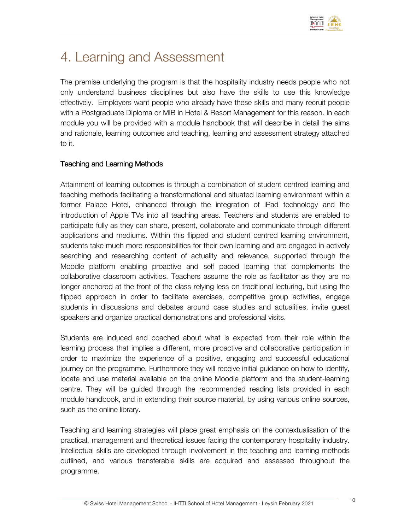

# 4. Learning and Assessment

The premise underlying the program is that the hospitality industry needs people who not only understand business disciplines but also have the skills to use this knowledge effectively. Employers want people who already have these skills and many recruit people with a Postgraduate Diploma or MIB in Hotel & Resort Management for this reason. In each module you will be provided with a module handbook that will describe in detail the aims and rationale, learning outcomes and teaching, learning and assessment strategy attached to it.

#### Teaching and Learning Methods

Attainment of learning outcomes is through a combination of student centred learning and teaching methods facilitating a transformational and situated learning environment within a former Palace Hotel, enhanced through the integration of iPad technology and the introduction of Apple TVs into all teaching areas. Teachers and students are enabled to participate fully as they can share, present, collaborate and communicate through different applications and mediums. Within this flipped and student centred learning environment, students take much more responsibilities for their own learning and are engaged in actively searching and researching content of actuality and relevance, supported through the Moodle platform enabling proactive and self paced learning that complements the collaborative classroom activities. Teachers assume the role as facilitator as they are no longer anchored at the front of the class relying less on traditional lecturing, but using the flipped approach in order to facilitate exercises, competitive group activities, engage students in discussions and debates around case studies and actualities, invite guest speakers and organize practical demonstrations and professional visits.

Students are induced and coached about what is expected from their role within the learning process that implies a different, more proactive and collaborative participation in order to maximize the experience of a positive, engaging and successful educational journey on the programme. Furthermore they will receive initial guidance on how to identify, locate and use material available on the online Moodle platform and the student-learning centre. They will be guided through the recommended reading lists provided in each module handbook, and in extending their source material, by using various online sources, such as the online library.

Teaching and learning strategies will place great emphasis on the contextualisation of the practical, management and theoretical issues facing the contemporary hospitality industry. Intellectual skills are developed through involvement in the teaching and learning methods outlined, and various transferable skills are acquired and assessed throughout the programme.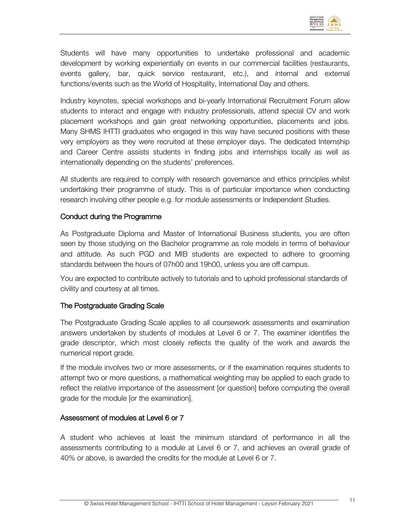

Students will have many opportunities to undertake professional and academic development by working experientially on events in our commercial facilities (restaurants, events gallery, bar, quick service restaurant, etc.), and internal and external functions/events such as the World of Hospitality, International Day and others.

Industry keynotes, special workshops and bi-yearly International Recruitment Forum allow students to interact and engage with industry professionals, attend special CV and work placement workshops and gain great networking opportunities, placements and jobs. Many SHMS IHTTI graduates who engaged in this way have secured positions with these very employers as they were recruited at these employer days. The dedicated Internship and Career Centre assists students in finding jobs and internships locally as well as internationally depending on the students' preferences.

All students are required to comply with research governance and ethics principles whilst undertaking their programme of study. This is of particular importance when conducting research involving other people e.g. for module assessments or Independent Studies.

#### Conduct during the Programme

As Postgraduate Diploma and Master of International Business students, you are often seen by those studying on the Bachelor programme as role models in terms of behaviour and attitude. As such PGD and MIB students are expected to adhere to grooming standards between the hours of 07h00 and 19h00, unless you are off campus.

You are expected to contribute actively to tutorials and to uphold professional standards of civility and courtesy at all times.

#### The Postgraduate Grading Scale

The Postgraduate Grading Scale applies to all coursework assessments and examination answers undertaken by students of modules at Level 6 or 7. The examiner identifies the grade descriptor, which most closely reflects the quality of the work and awards the numerical report grade.

If the module involves two or more assessments, or if the examination requires students to attempt two or more questions, a mathematical weighting may be applied to each grade to reflect the relative importance of the assessment [or question] before computing the overall grade for the module [or the examination].

#### Assessment of modules at Level 6 or 7

A student who achieves at least the minimum standard of performance in all the assessments contributing to a module at Level 6 or 7, and achieves an overall grade of 40% or above, is awarded the credits for the module at Level 6 or 7.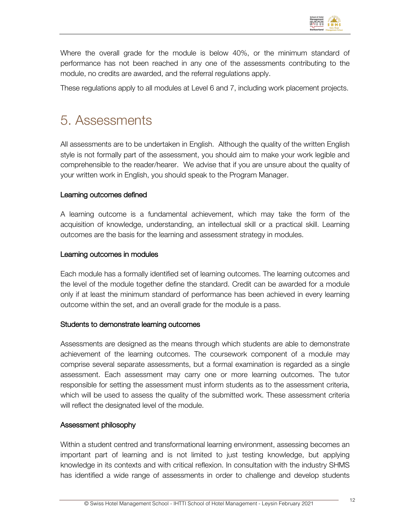

Where the overall grade for the module is below 40%, or the minimum standard of performance has not been reached in any one of the assessments contributing to the module, no credits are awarded, and the referral regulations apply.

These regulations apply to all modules at Level 6 and 7, including work placement projects.

## 5. Assessments

All assessments are to be undertaken in English. Although the quality of the written English style is not formally part of the assessment, you should aim to make your work legible and comprehensible to the reader/hearer. We advise that if you are unsure about the quality of your written work in English, you should speak to the Program Manager.

#### Learning outcomes defined

A learning outcome is a fundamental achievement, which may take the form of the acquisition of knowledge, understanding, an intellectual skill or a practical skill. Learning outcomes are the basis for the learning and assessment strategy in modules.

#### Learning outcomes in modules

Each module has a formally identified set of learning outcomes. The learning outcomes and the level of the module together define the standard. Credit can be awarded for a module only if at least the minimum standard of performance has been achieved in every learning outcome within the set, and an overall grade for the module is a pass.

#### Students to demonstrate learning outcomes

Assessments are designed as the means through which students are able to demonstrate achievement of the learning outcomes. The coursework component of a module may comprise several separate assessments, but a formal examination is regarded as a single assessment. Each assessment may carry one or more learning outcomes. The tutor responsible for setting the assessment must inform students as to the assessment criteria, which will be used to assess the quality of the submitted work. These assessment criteria will reflect the designated level of the module.

#### Assessment philosophy

Within a student centred and transformational learning environment, assessing becomes an important part of learning and is not limited to just testing knowledge, but applying knowledge in its contexts and with critical reflexion. In consultation with the industry SHMS has identified a wide range of assessments in order to challenge and develop students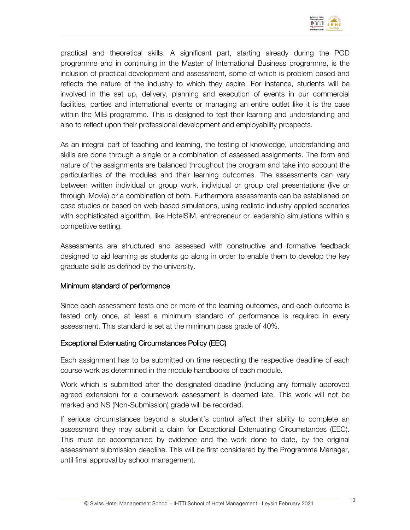

practical and theoretical skills. A significant part, starting already during the PGD programme and in continuing in the Master of International Business programme, is the inclusion of practical development and assessment, some of which is problem based and reflects the nature of the industry to which they aspire. For instance, students will be involved in the set up, delivery, planning and execution of events in our commercial facilities, parties and international events or managing an entire outlet like it is the case within the MIB programme. This is designed to test their learning and understanding and also to reflect upon their professional development and employability prospects.

As an integral part of teaching and learning, the testing of knowledge, understanding and skills are done through a single or a combination of assessed assignments. The form and nature of the assignments are balanced throughout the program and take into account the particularities of the modules and their learning outcomes. The assessments can vary between written individual or group work, individual or group oral presentations (live or through iMovie) or a combination of both. Furthermore assessments can be established on case studies or based on web-based simulations, using realistic industry applied scenarios with sophisticated algorithm, like HotelSiM, entrepreneur or leadership simulations within a competitive setting.

Assessments are structured and assessed with constructive and formative feedback designed to aid learning as students go along in order to enable them to develop the key graduate skills as defined by the university.

#### Minimum standard of performance

Since each assessment tests one or more of the learning outcomes, and each outcome is tested only once, at least a minimum standard of performance is required in every assessment. This standard is set at the minimum pass grade of 40%.

#### Exceptional Extenuating Circumstances Policy (EEC)

Each assignment has to be submitted on time respecting the respective deadline of each course work as determined in the module handbooks of each module.

Work which is submitted after the designated deadline (including any formally approved agreed extension) for a coursework assessment is deemed late. This work will not be marked and NS (Non-Submission) grade will be recorded.

If serious circumstances beyond a student's control affect their ability to complete an assessment they may submit a claim for Exceptional Extenuating Circumstances (EEC). This must be accompanied by evidence and the work done to date, by the original assessment submission deadline. This will be first considered by the Programme Manager, until final approval by school management.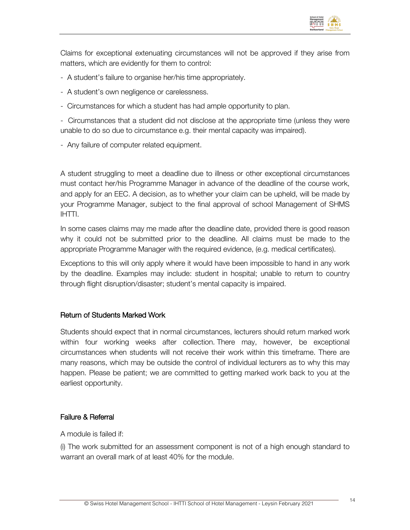

Claims for exceptional extenuating circumstances will not be approved if they arise from matters, which are evidently for them to control:

- A student's failure to organise her/his time appropriately.
- A student's own negligence or carelessness.
- Circumstances for which a student has had ample opportunity to plan.

- Circumstances that a student did not disclose at the appropriate time (unless they were unable to do so due to circumstance e.g. their mental capacity was impaired).

- Any failure of computer related equipment.

A student struggling to meet a deadline due to illness or other exceptional circumstances must contact her/his Programme Manager in advance of the deadline of the course work, and apply for an EEC. A decision, as to whether your claim can be upheld, will be made by your Programme Manager, subject to the final approval of school Management of SHMS IHTTI.

In some cases claims may me made after the deadline date, provided there is good reason why it could not be submitted prior to the deadline. All claims must be made to the appropriate Programme Manager with the required evidence, (e.g. medical certificates).

Exceptions to this will only apply where it would have been impossible to hand in any work by the deadline. Examples may include: student in hospital; unable to return to country through flight disruption/disaster; student's mental capacity is impaired.

#### Return of Students Marked Work

Students should expect that in normal circumstances, lecturers should return marked work within four working weeks after collection. There may, however, be exceptional circumstances when students will not receive their work within this timeframe. There are many reasons, which may be outside the control of individual lecturers as to why this may happen. Please be patient; we are committed to getting marked work back to you at the earliest opportunity.

#### Failure & Referral

A module is failed if:

(i) The work submitted for an assessment component is not of a high enough standard to warrant an overall mark of at least 40% for the module.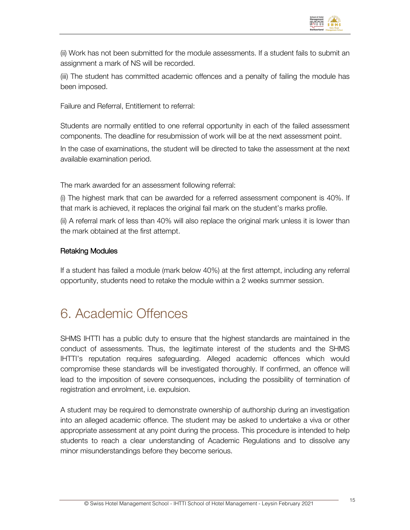

(ii) Work has not been submitted for the module assessments. If a student fails to submit an assignment a mark of NS will be recorded.

(iii) The student has committed academic offences and a penalty of failing the module has been imposed.

Failure and Referral, Entitlement to referral:

Students are normally entitled to one referral opportunity in each of the failed assessment components. The deadline for resubmission of work will be at the next assessment point.

In the case of examinations, the student will be directed to take the assessment at the next available examination period.

The mark awarded for an assessment following referral:

(i) The highest mark that can be awarded for a referred assessment component is 40%. If that mark is achieved, it replaces the original fail mark on the student's marks profile.

(ii) A referral mark of less than 40% will also replace the original mark unless it is lower than the mark obtained at the first attempt.

#### Retaking Modules

If a student has failed a module (mark below 40%) at the first attempt, including any referral opportunity, students need to retake the module within a 2 weeks summer session.

## 6. Academic Offences

SHMS IHTTI has a public duty to ensure that the highest standards are maintained in the conduct of assessments. Thus, the legitimate interest of the students and the SHMS IHTTI's reputation requires safeguarding. Alleged academic offences which would compromise these standards will be investigated thoroughly. If confirmed, an offence will lead to the imposition of severe consequences, including the possibility of termination of registration and enrolment, i.e. expulsion.

A student may be required to demonstrate ownership of authorship during an investigation into an alleged academic offence. The student may be asked to undertake a viva or other appropriate assessment at any point during the process. This procedure is intended to help students to reach a clear understanding of Academic Regulations and to dissolve any minor misunderstandings before they become serious.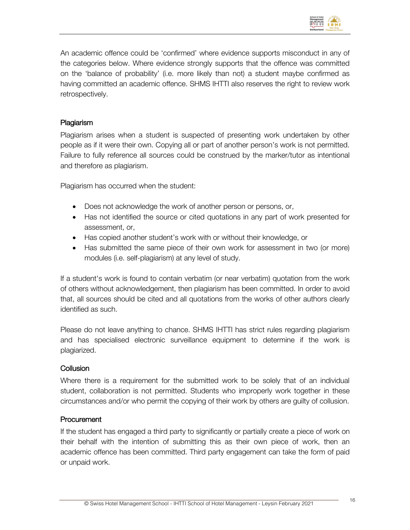

An academic offence could be 'confirmed' where evidence supports misconduct in any of the categories below. Where evidence strongly supports that the offence was committed on the 'balance of probability' (i.e. more likely than not) a student maybe confirmed as having committed an academic offence. SHMS IHTTI also reserves the right to review work retrospectively.

#### Plagiarism

Plagiarism arises when a student is suspected of presenting work undertaken by other people as if it were their own. Copying all or part of another person's work is not permitted. Failure to fully reference all sources could be construed by the marker/tutor as intentional and therefore as plagiarism.

Plagiarism has occurred when the student:

- Does not acknowledge the work of another person or persons, or,
- Has not identified the source or cited quotations in any part of work presented for assessment, or,
- Has copied another student's work with or without their knowledge, or
- Has submitted the same piece of their own work for assessment in two (or more) modules (i.e. self-plagiarism) at any level of study.

If a student's work is found to contain verbatim (or near verbatim) quotation from the work of others without acknowledgement, then plagiarism has been committed. In order to avoid that, all sources should be cited and all quotations from the works of other authors clearly identified as such.

Please do not leave anything to chance. SHMS IHTTI has strict rules regarding plagiarism and has specialised electronic surveillance equipment to determine if the work is plagiarized.

#### **Collusion**

Where there is a requirement for the submitted work to be solely that of an individual student, collaboration is not permitted. Students who improperly work together in these circumstances and/or who permit the copying of their work by others are guilty of collusion.

#### **Procurement**

If the student has engaged a third party to significantly or partially create a piece of work on their behalf with the intention of submitting this as their own piece of work, then an academic offence has been committed. Third party engagement can take the form of paid or unpaid work.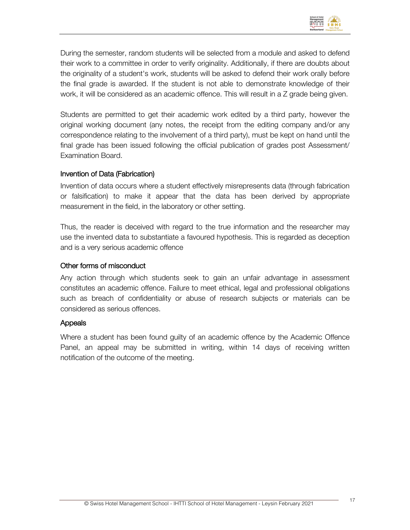

During the semester, random students will be selected from a module and asked to defend their work to a committee in order to verify originality. Additionally, if there are doubts about the originality of a student's work, students will be asked to defend their work orally before the final grade is awarded. If the student is not able to demonstrate knowledge of their work, it will be considered as an academic offence. This will result in a Z grade being given.

Students are permitted to get their academic work edited by a third party, however the original working document (any notes, the receipt from the editing company and/or any correspondence relating to the involvement of a third party), must be kept on hand until the final grade has been issued following the official publication of grades post Assessment/ Examination Board.

#### Invention of Data (Fabrication)

Invention of data occurs where a student effectively misrepresents data (through fabrication or falsification) to make it appear that the data has been derived by appropriate measurement in the field, in the laboratory or other setting.

Thus, the reader is deceived with regard to the true information and the researcher may use the invented data to substantiate a favoured hypothesis. This is regarded as deception and is a very serious academic offence

#### Other forms of misconduct

Any action through which students seek to gain an unfair advantage in assessment constitutes an academic offence. Failure to meet ethical, legal and professional obligations such as breach of confidentiality or abuse of research subjects or materials can be considered as serious offences.

#### Appeals

Where a student has been found guilty of an academic offence by the Academic Offence Panel, an appeal may be submitted in writing, within 14 days of receiving written notification of the outcome of the meeting.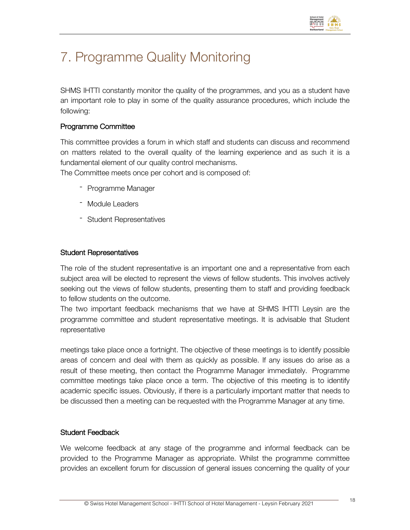

# 7. Programme Quality Monitoring

SHMS IHTTI constantly monitor the quality of the programmes, and you as a student have an important role to play in some of the quality assurance procedures, which include the following:

#### Programme Committee

This committee provides a forum in which staff and students can discuss and recommend on matters related to the overall quality of the learning experience and as such it is a fundamental element of our quality control mechanisms.

The Committee meets once per cohort and is composed of:

- Programme Manager
- Module Leaders
- Student Representatives

#### Student Representatives

The role of the student representative is an important one and a representative from each subject area will be elected to represent the views of fellow students. This involves actively seeking out the views of fellow students, presenting them to staff and providing feedback to fellow students on the outcome.

The two important feedback mechanisms that we have at SHMS IHTTI Leysin are the programme committee and student representative meetings. It is advisable that Student representative

meetings take place once a fortnight. The objective of these meetings is to identify possible areas of concern and deal with them as quickly as possible. If any issues do arise as a result of these meeting, then contact the Programme Manager immediately. Programme committee meetings take place once a term. The objective of this meeting is to identify academic specific issues. Obviously, if there is a particularly important matter that needs to be discussed then a meeting can be requested with the Programme Manager at any time.

#### Student Feedback

We welcome feedback at any stage of the programme and informal feedback can be provided to the Programme Manager as appropriate. Whilst the programme committee provides an excellent forum for discussion of general issues concerning the quality of your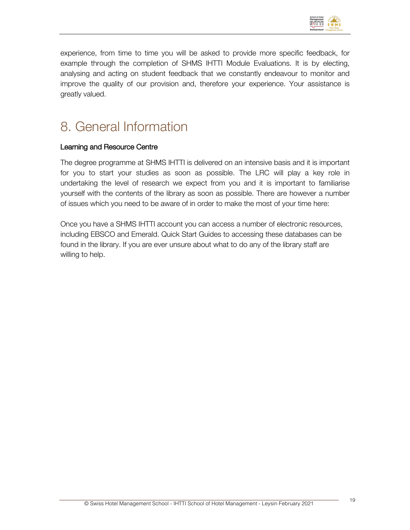

experience, from time to time you will be asked to provide more specific feedback, for example through the completion of SHMS IHTTI Module Evaluations. It is by electing, analysing and acting on student feedback that we constantly endeavour to monitor and improve the quality of our provision and, therefore your experience. Your assistance is greatly valued.

## 8. General Information

#### Learning and Resource Centre

The degree programme at SHMS IHTTI is delivered on an intensive basis and it is important for you to start your studies as soon as possible. The LRC will play a key role in undertaking the level of research we expect from you and it is important to familiarise yourself with the contents of the library as soon as possible. There are however a number of issues which you need to be aware of in order to make the most of your time here:

Once you have a SHMS IHTTI account you can access a number of electronic resources, including EBSCO and Emerald. Quick Start Guides to accessing these databases can be found in the library. If you are ever unsure about what to do any of the library staff are willing to help.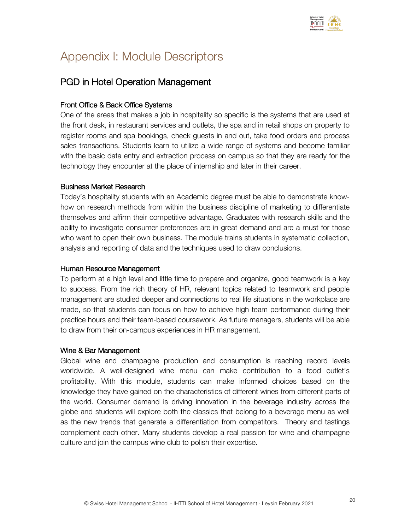

## Appendix I: Module Descriptors

### PGD in Hotel Operation Management

#### Front Office & Back Office Systems

One of the areas that makes a job in hospitality so specific is the systems that are used at the front desk, in restaurant services and outlets, the spa and in retail shops on property to register rooms and spa bookings, check guests in and out, take food orders and process sales transactions. Students learn to utilize a wide range of systems and become familiar with the basic data entry and extraction process on campus so that they are ready for the technology they encounter at the place of internship and later in their career.

#### Business Market Research

Today's hospitality students with an Academic degree must be able to demonstrate knowhow on research methods from within the business discipline of marketing to differentiate themselves and affirm their competitive advantage. Graduates with research skills and the ability to investigate consumer preferences are in great demand and are a must for those who want to open their own business. The module trains students in systematic collection, analysis and reporting of data and the techniques used to draw conclusions.

#### Human Resource Management

To perform at a high level and little time to prepare and organize, good teamwork is a key to success. From the rich theory of HR, relevant topics related to teamwork and people management are studied deeper and connections to real life situations in the workplace are made, so that students can focus on how to achieve high team performance during their practice hours and their team-based coursework. As future managers, students will be able to draw from their on-campus experiences in HR management.

#### Wine & Bar Management

Global wine and champagne production and consumption is reaching record levels worldwide. A well-designed wine menu can make contribution to a food outlet's profitability. With this module, students can make informed choices based on the knowledge they have gained on the characteristics of different wines from different parts of the world. Consumer demand is driving innovation in the beverage industry across the globe and students will explore both the classics that belong to a beverage menu as well as the new trends that generate a differentiation from competitors. Theory and tastings complement each other. Many students develop a real passion for wine and champagne culture and join the campus wine club to polish their expertise.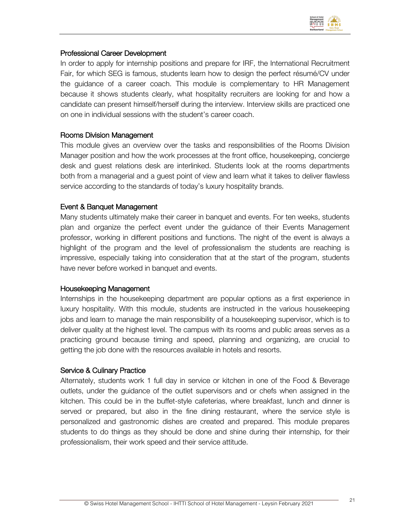

#### Professional Career Development

In order to apply for internship positions and prepare for IRF, the International Recruitment Fair, for which SEG is famous, students learn how to design the perfect résumé/CV under the guidance of a career coach. This module is complementary to HR Management because it shows students clearly, what hospitality recruiters are looking for and how a candidate can present himself/herself during the interview. Interview skills are practiced one on one in individual sessions with the student's career coach.

#### Rooms Division Management

This module gives an overview over the tasks and responsibilities of the Rooms Division Manager position and how the work processes at the front office, housekeeping, concierge desk and guest relations desk are interlinked. Students look at the rooms departments both from a managerial and a guest point of view and learn what it takes to deliver flawless service according to the standards of today's luxury hospitality brands.

#### Event & Banquet Management

Many students ultimately make their career in banquet and events. For ten weeks, students plan and organize the perfect event under the guidance of their Events Management professor, working in different positions and functions. The night of the event is always a highlight of the program and the level of professionalism the students are reaching is impressive, especially taking into consideration that at the start of the program, students have never before worked in banquet and events.

#### Housekeeping Management

Internships in the housekeeping department are popular options as a first experience in luxury hospitality. With this module, students are instructed in the various housekeeping jobs and learn to manage the main responsibility of a housekeeping supervisor, which is to deliver quality at the highest level. The campus with its rooms and public areas serves as a practicing ground because timing and speed, planning and organizing, are crucial to getting the job done with the resources available in hotels and resorts.

#### Service & Culinary Practice

Alternately, students work 1 full day in service or kitchen in one of the Food & Beverage outlets, under the guidance of the outlet supervisors and or chefs when assigned in the kitchen. This could be in the buffet-style cafeterias, where breakfast, lunch and dinner is served or prepared, but also in the fine dining restaurant, where the service style is personalized and gastronomic dishes are created and prepared. This module prepares students to do things as they should be done and shine during their internship, for their professionalism, their work speed and their service attitude.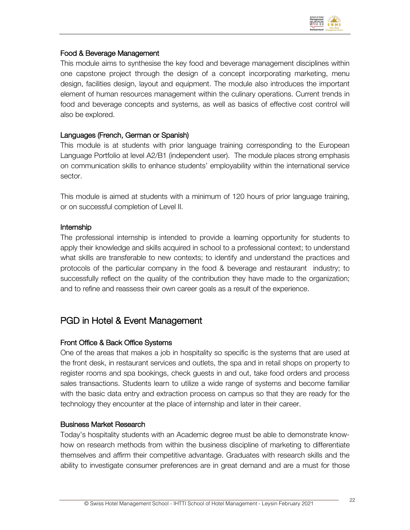

#### Food & Beverage Management

This module aims to synthesise the key food and beverage management disciplines within one capstone project through the design of a concept incorporating marketing, menu design, facilities design, layout and equipment. The module also introduces the important element of human resources management within the culinary operations. Current trends in food and beverage concepts and systems, as well as basics of effective cost control will also be explored.

#### Languages (French, German or Spanish)

This module is at students with prior language training corresponding to the European Language Portfolio at level A2/B1 (independent user). The module places strong emphasis on communication skills to enhance students' employability within the international service sector.

This module is aimed at students with a minimum of 120 hours of prior language training, or on successful completion of Level II.

#### Internship

The professional internship is intended to provide a learning opportunity for students to apply their knowledge and skills acquired in school to a professional context; to understand what skills are transferable to new contexts; to identify and understand the practices and protocols of the particular company in the food & beverage and restaurant industry; to successfully reflect on the quality of the contribution they have made to the organization; and to refine and reassess their own career goals as a result of the experience.

### PGD in Hotel & Event Management

#### Front Office & Back Office Systems

One of the areas that makes a job in hospitality so specific is the systems that are used at the front desk, in restaurant services and outlets, the spa and in retail shops on property to register rooms and spa bookings, check guests in and out, take food orders and process sales transactions. Students learn to utilize a wide range of systems and become familiar with the basic data entry and extraction process on campus so that they are ready for the technology they encounter at the place of internship and later in their career.

#### Business Market Research

Today's hospitality students with an Academic degree must be able to demonstrate knowhow on research methods from within the business discipline of marketing to differentiate themselves and affirm their competitive advantage. Graduates with research skills and the ability to investigate consumer preferences are in great demand and are a must for those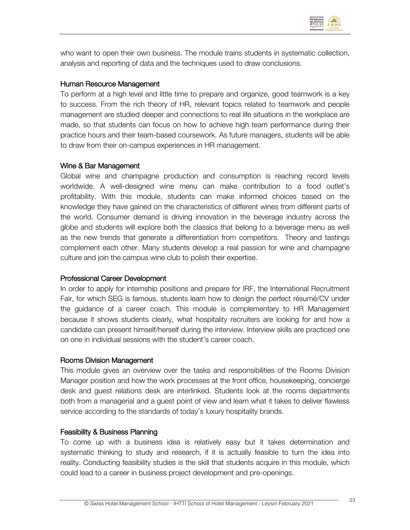

who want to open their own business. The module trains students in systematic collection, analysis and reporting of data and the techniques used to draw conclusions.

#### Human Resource Management

To perform at a high level and little time to prepare and organize, good teamwork is a key to success. From the rich theory of HR, relevant topics related to teamwork and people management are studied deeper and connections to real life situations in the workplace are made, so that students can focus on how to achieve high team performance during their practice hours and their team-based coursework. As future managers, students will be able to draw from their on-campus experiences in HR management.

#### Wine & Bar Management

Global wine and champagne production and consumption is reaching record levels worldwide. A well-designed wine menu can make contribution to a food outlet's profitability. With this module, students can make informed choices based on the knowledge they have gained on the characteristics of different wines from different parts of the world. Consumer demand is driving innovation in the beverage industry across the globe and students will explore both the classics that belong to a beverage menu as well as the new trends that generate a differentiation from competitors. Theory and tastings complement each other. Many students develop a real passion for wine and champagne culture and join the campus wine club to polish their expertise.

#### Professional Career Development

In order to apply for internship positions and prepare for IRF, the International Recruitment Fair, for which SEG is famous, students learn how to design the perfect résumé/CV under the guidance of a career coach. This module is complementary to HR Management because it shows students clearly, what hospitality recruiters are looking for and how a candidate can present himself/herself during the interview. Interview skills are practiced one on one in individual sessions with the student's career coach.

#### Rooms Division Management

This module gives an overview over the tasks and responsibilities of the Rooms Division Manager position and how the work processes at the front office, housekeeping, concierge desk and guest relations desk are interlinked. Students look at the rooms departments both from a managerial and a guest point of view and learn what it takes to deliver flawless service according to the standards of today's luxury hospitality brands.

#### Feasibility & Business Planning

To come up with a business idea is relatively easy but it takes determination and systematic thinking to study and research, if it is actually feasible to turn the idea into reality. Conducting feasibility studies is the skill that students acquire in this module, which could lead to a career in business project development and pre-openings.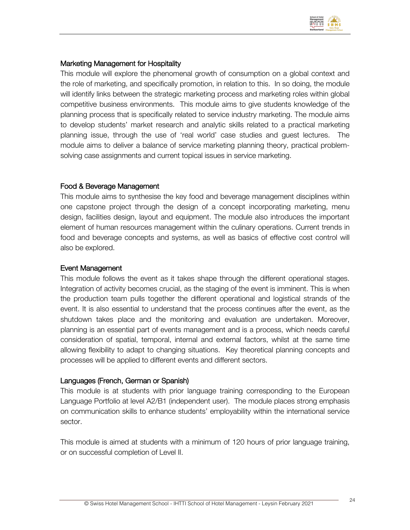

#### Marketing Management for Hospitality

This module will explore the phenomenal growth of consumption on a global context and the role of marketing, and specifically promotion, in relation to this. In so doing, the module will identify links between the strategic marketing process and marketing roles within global competitive business environments. This module aims to give students knowledge of the planning process that is specifically related to service industry marketing. The module aims to develop students' market research and analytic skills related to a practical marketing planning issue, through the use of 'real world' case studies and guest lectures. The module aims to deliver a balance of service marketing planning theory, practical problemsolving case assignments and current topical issues in service marketing.

#### Food & Beverage Management

This module aims to synthesise the key food and beverage management disciplines within one capstone project through the design of a concept incorporating marketing, menu design, facilities design, layout and equipment. The module also introduces the important element of human resources management within the culinary operations. Current trends in food and beverage concepts and systems, as well as basics of effective cost control will also be explored.

#### Event Management

This module follows the event as it takes shape through the different operational stages. Integration of activity becomes crucial, as the staging of the event is imminent. This is when the production team pulls together the different operational and logistical strands of the event. It is also essential to understand that the process continues after the event, as the shutdown takes place and the monitoring and evaluation are undertaken. Moreover, planning is an essential part of events management and is a process, which needs careful consideration of spatial, temporal, internal and external factors, whilst at the same time allowing flexibility to adapt to changing situations. Key theoretical planning concepts and processes will be applied to different events and different sectors.

#### Languages (French, German or Spanish)

This module is at students with prior language training corresponding to the European Language Portfolio at level A2/B1 (independent user). The module places strong emphasis on communication skills to enhance students' employability within the international service sector.

This module is aimed at students with a minimum of 120 hours of prior language training, or on successful completion of Level II.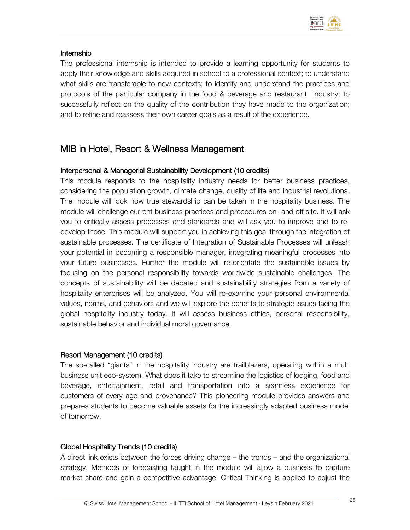

#### Internship

The professional internship is intended to provide a learning opportunity for students to apply their knowledge and skills acquired in school to a professional context; to understand what skills are transferable to new contexts; to identify and understand the practices and protocols of the particular company in the food & beverage and restaurant industry; to successfully reflect on the quality of the contribution they have made to the organization; and to refine and reassess their own career goals as a result of the experience.

### MIB in Hotel, Resort & Wellness Management

#### Interpersonal & Managerial Sustainability Development (10 credits)

This module responds to the hospitality industry needs for better business practices, considering the population growth, climate change, quality of life and industrial revolutions. The module will look how true stewardship can be taken in the hospitality business. The module will challenge current business practices and procedures on- and off site. It will ask you to critically assess processes and standards and will ask you to improve and to redevelop those. This module will support you in achieving this goal through the integration of sustainable processes. The certificate of Integration of Sustainable Processes will unleash your potential in becoming a responsible manager, integrating meaningful processes into your future businesses. Further the module will re-orientate the sustainable issues by focusing on the personal responsibility towards worldwide sustainable challenges. The concepts of sustainability will be debated and sustainability strategies from a variety of hospitality enterprises will be analyzed. You will re-examine your personal environmental values, norms, and behaviors and we will explore the benefits to strategic issues facing the global hospitality industry today. It will assess business ethics, personal responsibility, sustainable behavior and individual moral governance.

#### Resort Management (10 credits)

The so-called "giants" in the hospitality industry are trailblazers, operating within a multi business unit eco-system. What does it take to streamline the logistics of lodging, food and beverage, entertainment, retail and transportation into a seamless experience for customers of every age and provenance? This pioneering module provides answers and prepares students to become valuable assets for the increasingly adapted business model of tomorrow.

#### Global Hospitality Trends (10 credits)

A direct link exists between the forces driving change – the trends – and the organizational strategy. Methods of forecasting taught in the module will allow a business to capture market share and gain a competitive advantage. Critical Thinking is applied to adjust the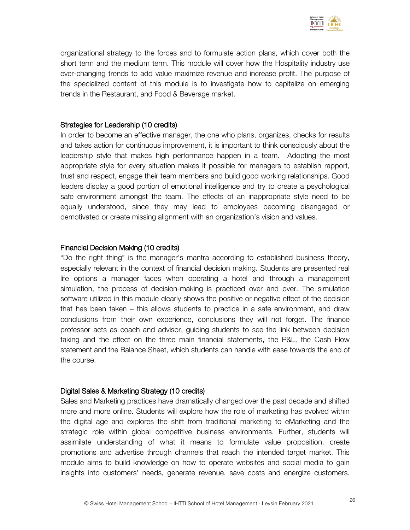

organizational strategy to the forces and to formulate action plans, which cover both the short term and the medium term. This module will cover how the Hospitality industry use ever-changing trends to add value maximize revenue and increase profit. The purpose of the specialized content of this module is to investigate how to capitalize on emerging trends in the Restaurant, and Food & Beverage market.

#### Strategies for Leadership (10 credits)

In order to become an effective manager, the one who plans, organizes, checks for results and takes action for continuous improvement, it is important to think consciously about the leadership style that makes high performance happen in a team. Adopting the most appropriate style for every situation makes it possible for managers to establish rapport, trust and respect, engage their team members and build good working relationships. Good leaders display a good portion of emotional intelligence and try to create a psychological safe environment amongst the team. The effects of an inappropriate style need to be equally understood, since they may lead to employees becoming disengaged or demotivated or create missing alignment with an organization's vision and values.

#### Financial Decision Making (10 credits)

"Do the right thing" is the manager's mantra according to established business theory, especially relevant in the context of financial decision making. Students are presented real life options a manager faces when operating a hotel and through a management simulation, the process of decision-making is practiced over and over. The simulation software utilized in this module clearly shows the positive or negative effect of the decision that has been taken – this allows students to practice in a safe environment, and draw conclusions from their own experience, conclusions they will not forget. The finance professor acts as coach and advisor, guiding students to see the link between decision taking and the effect on the three main financial statements, the P&L, the Cash Flow statement and the Balance Sheet, which students can handle with ease towards the end of the course.

#### Digital Sales & Marketing Strategy (10 credits)

Sales and Marketing practices have dramatically changed over the past decade and shifted more and more online. Students will explore how the role of marketing has evolved within the digital age and explores the shift from traditional marketing to eMarketing and the strategic role within global competitive business environments. Further, students will assimilate understanding of what it means to formulate value proposition, create promotions and advertise through channels that reach the intended target market. This module aims to build knowledge on how to operate websites and social media to gain insights into customers' needs, generate revenue, save costs and energize customers.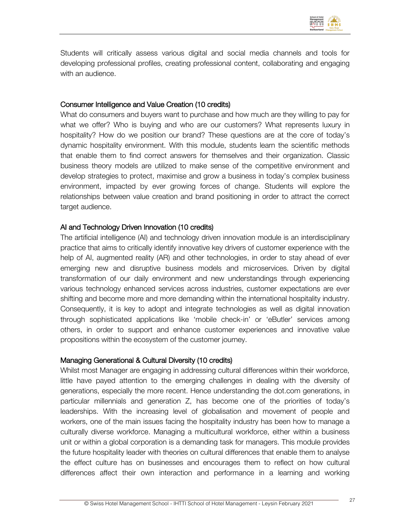

Students will critically assess various digital and social media channels and tools for developing professional profiles, creating professional content, collaborating and engaging with an audience.

#### Consumer Intelligence and Value Creation (10 credits)

What do consumers and buyers want to purchase and how much are they willing to pay for what we offer? Who is buying and who are our customers? What represents luxury in hospitality? How do we position our brand? These questions are at the core of today's dynamic hospitality environment. With this module, students learn the scientific methods that enable them to find correct answers for themselves and their organization. Classic business theory models are utilized to make sense of the competitive environment and develop strategies to protect, maximise and grow a business in today's complex business environment, impacted by ever growing forces of change. Students will explore the relationships between value creation and brand positioning in order to attract the correct target audience.

#### AI and Technology Driven Innovation (10 credits)

The artificial intelligence (AI) and technology driven innovation module is an interdisciplinary practice that aims to critically identify innovative key drivers of customer experience with the help of AI, augmented reality (AR) and other technologies, in order to stay ahead of ever emerging new and disruptive business models and microservices. Driven by digital transformation of our daily environment and new understandings through experiencing various technology enhanced services across industries, customer expectations are ever shifting and become more and more demanding within the international hospitality industry. Consequently, it is key to adopt and integrate technologies as well as digital innovation through sophisticated applications like 'mobile check-in' or 'eButler' services among others, in order to support and enhance customer experiences and innovative value propositions within the ecosystem of the customer journey.

#### Managing Generational & Cultural Diversity (10 credits)

Whilst most Manager are engaging in addressing cultural differences within their workforce, little have payed attention to the emerging challenges in dealing with the diversity of generations, especially the more recent. Hence understanding the dot.com generations, in particular millennials and generation Z, has become one of the priorities of today's leaderships. With the increasing level of globalisation and movement of people and workers, one of the main issues facing the hospitality industry has been how to manage a culturally diverse workforce. Managing a multicultural workforce, either within a business unit or within a global corporation is a demanding task for managers. This module provides the future hospitality leader with theories on cultural differences that enable them to analyse the effect culture has on businesses and encourages them to reflect on how cultural differences affect their own interaction and performance in a learning and working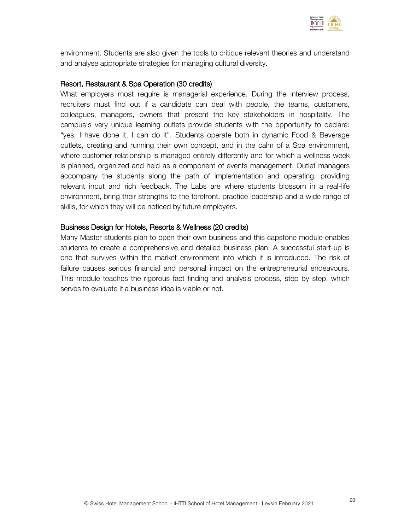

environment. Students are also given the tools to critique relevant theories and understand and analyse appropriate strategies for managing cultural diversity.

#### Resort, Restaurant & Spa Operation (30 credits)

What employers most require is managerial experience. During the interview process, recruiters must find out if a candidate can deal with people, the teams, customers, colleagues, managers, owners that present the key stakeholders in hospitality. The campus's very unique learning outlets provide students with the opportunity to declare: "yes, I have done it, I can do it". Students operate both in dynamic Food & Beverage outlets, creating and running their own concept, and in the calm of a Spa environment, where customer relationship is managed entirely differently and for which a wellness week is planned, organized and held as a component of events management. Outlet managers accompany the students along the path of implementation and operating, providing relevant input and rich feedback. The Labs are where students blossom in a real-life environment, bring their strengths to the forefront, practice leadership and a wide range of skills, for which they will be noticed by future employers.

#### Business Design for Hotels, Resorts & Wellness (20 credits)

Many Master students plan to open their own business and this capstone module enables students to create a comprehensive and detailed business plan. A successful start-up is one that survives within the market environment into which it is introduced. The risk of failure causes serious financial and personal impact on the entrepreneurial endeavours. This module teaches the rigorous fact finding and analysis process, step by step, which serves to evaluate if a business idea is viable or not.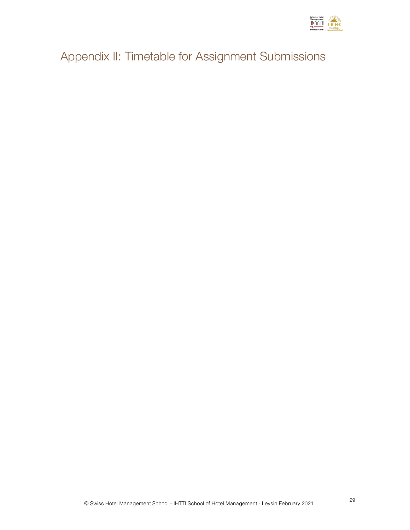

Appendix II: Timetable for Assignment Submissions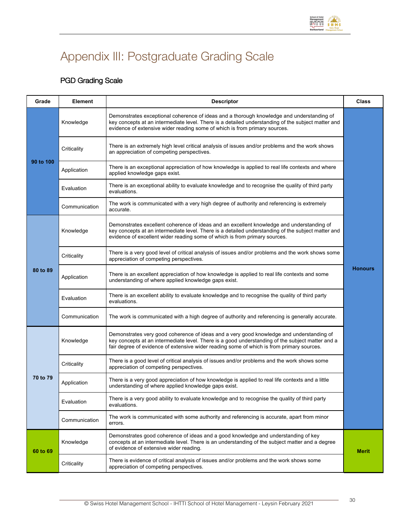

# Appendix III: Postgraduate Grading Scale

### PGD Grading Scale

| Grade     | <b>Element</b> | <b>Descriptor</b>                                                                                                                                                                                                                                                                         | <b>Class</b>   |
|-----------|----------------|-------------------------------------------------------------------------------------------------------------------------------------------------------------------------------------------------------------------------------------------------------------------------------------------|----------------|
|           | Knowledge      | Demonstrates exceptional coherence of ideas and a thorough knowledge and understanding of<br>key concepts at an intermediate level. There is a detailed understanding of the subject matter and<br>evidence of extensive wider reading some of which is from primary sources.             |                |
|           | Criticality    | There is an extremely high level critical analysis of issues and/or problems and the work shows<br>an appreciation of competing perspectives.                                                                                                                                             |                |
| 90 to 100 | Application    | There is an exceptional appreciation of how knowledge is applied to real life contexts and where<br>applied knowledge gaps exist.                                                                                                                                                         |                |
|           | Evaluation     | There is an exceptional ability to evaluate knowledge and to recognise the quality of third party<br>evaluations.                                                                                                                                                                         |                |
|           | Communication  | The work is communicated with a very high degree of authority and referencing is extremely<br>accurate.                                                                                                                                                                                   |                |
|           | Knowledge      | Demonstrates excellent coherence of ideas and an excellent knowledge and understanding of<br>key concepts at an intermediate level. There is a detailed understanding of the subject matter and<br>evidence of excellent wider reading some of which is from primary sources.             |                |
|           | Criticality    | There is a very good level of critical analysis of issues and/or problems and the work shows some<br>appreciation of competing perspectives.                                                                                                                                              |                |
| 80 to 89  | Application    | There is an excellent appreciation of how knowledge is applied to real life contexts and some<br>understanding of where applied knowledge gaps exist.                                                                                                                                     | <b>Honours</b> |
|           | Evaluation     | There is an excellent ability to evaluate knowledge and to recognise the quality of third party<br>evaluations.                                                                                                                                                                           |                |
|           | Communication  | The work is communicated with a high degree of authority and referencing is generally accurate.                                                                                                                                                                                           |                |
|           | Knowledge      | Demonstrates very good coherence of ideas and a very good knowledge and understanding of<br>key concepts at an intermediate level. There is a good understanding of the subject matter and a<br>fair degree of evidence of extensive wider reading some of which is from primary sources. |                |
|           | Criticality    | There is a good level of critical analysis of issues and/or problems and the work shows some<br>appreciation of competing perspectives.                                                                                                                                                   |                |
| 70 to 79  | Application    | There is a very good appreciation of how knowledge is applied to real life contexts and a little<br>understanding of where applied knowledge gaps exist.                                                                                                                                  |                |
|           | Evaluation     | There is a very good ability to evaluate knowledge and to recognise the quality of third party<br>evaluations.                                                                                                                                                                            |                |
|           | Communication  | The work is communicated with some authority and referencing is accurate, apart from minor<br>errors.                                                                                                                                                                                     |                |
| 60 to 69  | Knowledge      | Demonstrates good coherence of ideas and a good knowledge and understanding of key<br>concepts at an intermediate level. There is an understanding of the subject matter and a degree<br>of evidence of extensive wider reading.                                                          | <b>Merit</b>   |
|           | Criticality    | There is evidence of critical analysis of issues and/or problems and the work shows some<br>appreciation of competing perspectives.                                                                                                                                                       |                |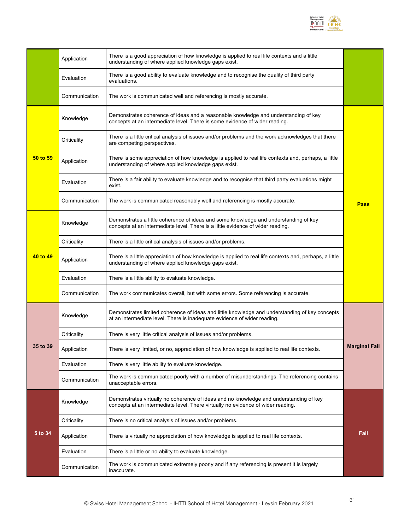

|          | Application   | There is a good appreciation of how knowledge is applied to real life contexts and a little<br>understanding of where applied knowledge gaps exist.                        |                      |
|----------|---------------|----------------------------------------------------------------------------------------------------------------------------------------------------------------------------|----------------------|
|          | Evaluation    | There is a good ability to evaluate knowledge and to recognise the quality of third party<br>evaluations.                                                                  |                      |
|          | Communication | The work is communicated well and referencing is mostly accurate.                                                                                                          |                      |
|          | Knowledge     | Demonstrates coherence of ideas and a reasonable knowledge and understanding of key<br>concepts at an intermediate level. There is some evidence of wider reading.         |                      |
|          | Criticality   | There is a little critical analysis of issues and/or problems and the work acknowledges that there<br>are competing perspectives.                                          |                      |
| 50 to 59 | Application   | There is some appreciation of how knowledge is applied to real life contexts and, perhaps, a little<br>understanding of where applied knowledge gaps exist.                |                      |
|          | Evaluation    | There is a fair ability to evaluate knowledge and to recognise that third party evaluations might<br>exist.                                                                |                      |
|          | Communication | The work is communicated reasonably well and referencing is mostly accurate.                                                                                               | <b>Pass</b>          |
|          | Knowledge     | Demonstrates a little coherence of ideas and some knowledge and understanding of key<br>concepts at an intermediate level. There is a little evidence of wider reading.    |                      |
|          | Criticality   | There is a little critical analysis of issues and/or problems.                                                                                                             |                      |
| 40 to 49 | Application   | There is a little appreciation of how knowledge is applied to real life contexts and, perhaps, a little<br>understanding of where applied knowledge gaps exist.            |                      |
|          | Evaluation    | There is a little ability to evaluate knowledge.                                                                                                                           |                      |
|          | Communication | The work communicates overall, but with some errors. Some referencing is accurate.                                                                                         |                      |
|          | Knowledge     | Demonstrates limited coherence of ideas and little knowledge and understanding of key concepts<br>at an intermediate level. There is inadequate evidence of wider reading. |                      |
|          | Criticality   | There is very little critical analysis of issues and/or problems.                                                                                                          |                      |
| 35 to 39 | Application   | There is very limited, or no, appreciation of how knowledge is applied to real life contexts.                                                                              | <b>Marginal Fail</b> |
|          | Evaluation    | There is very little ability to evaluate knowledge.                                                                                                                        |                      |
|          | Communication | The work is communicated poorly with a number of misunderstandings. The referencing contains<br>unacceptable errors.                                                       |                      |
|          | Knowledge     | Demonstrates virtually no coherence of ideas and no knowledge and understanding of key<br>concepts at an intermediate level. There virtually no evidence of wider reading. |                      |
|          | Criticality   | There is no critical analysis of issues and/or problems.                                                                                                                   |                      |
| 5 to 34  | Application   | There is virtually no appreciation of how knowledge is applied to real life contexts.                                                                                      | Fail                 |
|          | Evaluation    | There is a little or no ability to evaluate knowledge.                                                                                                                     |                      |
|          | Communication | The work is communicated extremely poorly and if any referencing is present it is largely<br>inaccurate.                                                                   |                      |
|          |               |                                                                                                                                                                            |                      |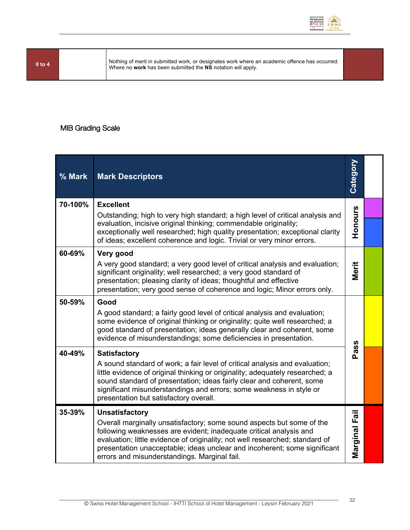

**<sup>0</sup> to <sup>4</sup>** Nothing of merit in submitted work, or designates work where an academic offence has occurred. Where no **work** has been submitted the **NS** notation will apply.

#### MIB Grading Scale

| % Mark  | <b>Mark Descriptors</b>                                                                                                                                                                                                                                                                                                                                  | Category      |  |
|---------|----------------------------------------------------------------------------------------------------------------------------------------------------------------------------------------------------------------------------------------------------------------------------------------------------------------------------------------------------------|---------------|--|
| 70-100% | <b>Excellent</b>                                                                                                                                                                                                                                                                                                                                         |               |  |
|         | Outstanding; high to very high standard; a high level of critical analysis and<br>evaluation, incisive original thinking; commendable originality;<br>exceptionally well researched; high quality presentation; exceptional clarity<br>of ideas; excellent coherence and logic. Trivial or very minor errors.                                            | Honours       |  |
| 60-69%  | Very good                                                                                                                                                                                                                                                                                                                                                |               |  |
|         | A very good standard; a very good level of critical analysis and evaluation;<br>significant originality; well researched; a very good standard of<br>presentation; pleasing clarity of ideas; thoughtful and effective<br>presentation; very good sense of coherence and logic; Minor errors only.                                                       | Merit         |  |
| 50-59%  | Good                                                                                                                                                                                                                                                                                                                                                     |               |  |
|         | A good standard; a fairly good level of critical analysis and evaluation;<br>some evidence of original thinking or originality; quite well researched; a<br>good standard of presentation; ideas generally clear and coherent, some<br>evidence of misunderstandings; some deficiencies in presentation.                                                 |               |  |
| 40-49%  | <b>Satisfactory</b>                                                                                                                                                                                                                                                                                                                                      | Pass          |  |
|         | A sound standard of work; a fair level of critical analysis and evaluation;<br>little evidence of original thinking or originality; adequately researched; a<br>sound standard of presentation; ideas fairly clear and coherent, some<br>significant misunderstandings and errors; some weakness in style or<br>presentation but satisfactory overall.   |               |  |
| 35-39%  | <b>Unsatisfactory</b>                                                                                                                                                                                                                                                                                                                                    |               |  |
|         | Overall marginally unsatisfactory; some sound aspects but some of the<br>following weaknesses are evident; inadequate critical analysis and<br>evaluation; little evidence of originality; not well researched; standard of<br>presentation unacceptable; ideas unclear and incoherent; some significant<br>errors and misunderstandings. Marginal fail. | Marginal Fail |  |